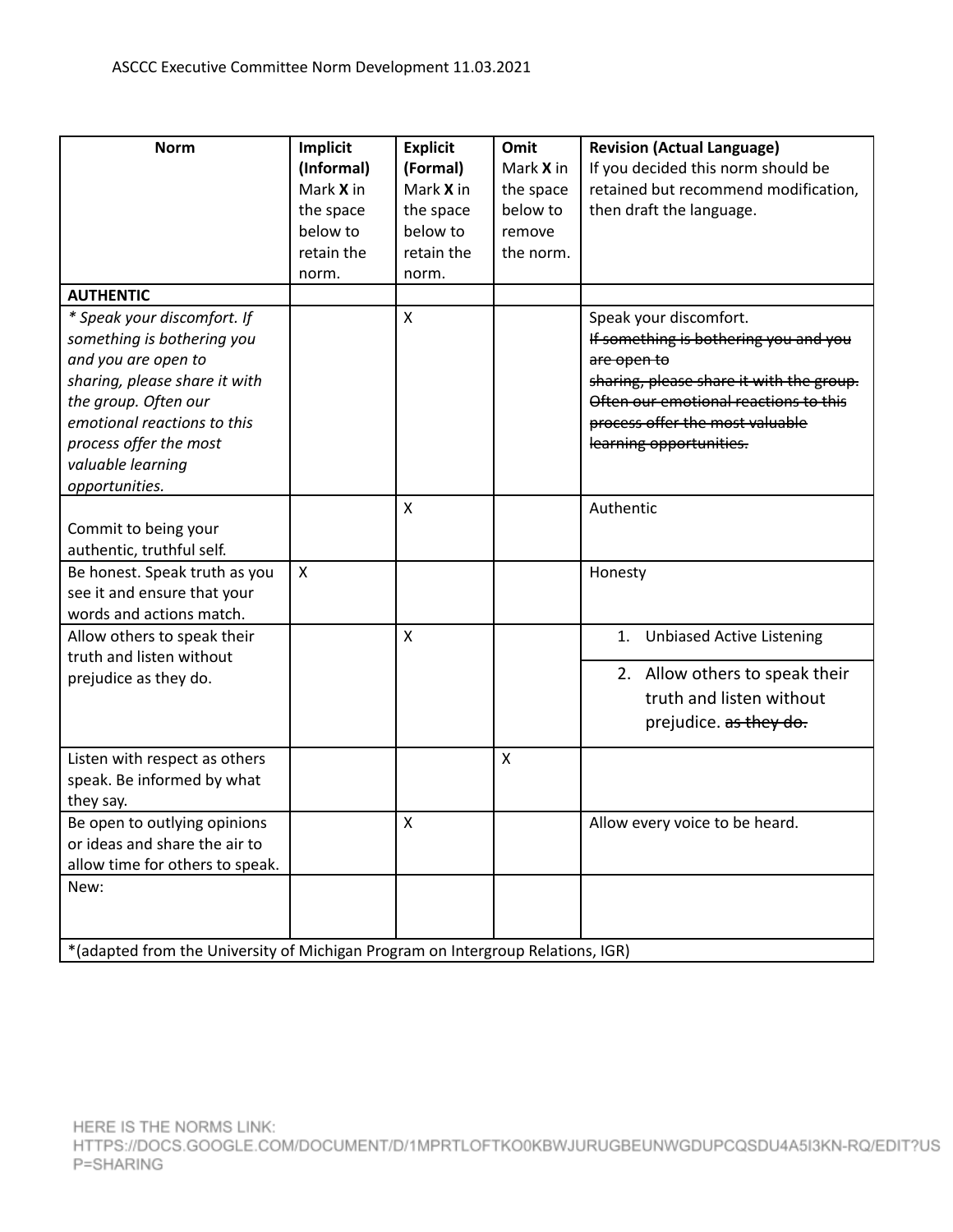| <b>Norm</b>                                                                     | Implicit<br>(Informal) | <b>Explicit</b><br>(Formal) | Omit<br>Mark <b>X</b> in | <b>Revision (Actual Language)</b><br>If you decided this norm should be |
|---------------------------------------------------------------------------------|------------------------|-----------------------------|--------------------------|-------------------------------------------------------------------------|
|                                                                                 | Mark X in              | Mark X in                   | the space                | retained but recommend modification,                                    |
|                                                                                 | the space              | the space                   | below to                 | then draft the language.                                                |
|                                                                                 | below to               | below to                    | remove                   |                                                                         |
|                                                                                 | retain the             | retain the                  | the norm.                |                                                                         |
|                                                                                 | norm.                  | norm.                       |                          |                                                                         |
| <b>AUTHENTIC</b>                                                                |                        |                             |                          |                                                                         |
| * Speak your discomfort. If                                                     |                        | X                           |                          | Speak your discomfort.<br>If something is bothering you and you         |
| something is bothering you<br>and you are open to                               |                        |                             |                          |                                                                         |
| sharing, please share it with                                                   |                        |                             |                          | <del>are open to</del><br>sharing, please share it with the group.      |
| the group. Often our                                                            |                        |                             |                          | Often our emotional reactions to this                                   |
| emotional reactions to this                                                     |                        |                             |                          | process offer the most valuable                                         |
| process offer the most                                                          |                        |                             |                          | learning opportunities.                                                 |
| valuable learning                                                               |                        |                             |                          |                                                                         |
| opportunities.                                                                  |                        |                             |                          |                                                                         |
|                                                                                 |                        | X                           |                          | Authentic                                                               |
| Commit to being your                                                            |                        |                             |                          |                                                                         |
| authentic, truthful self.                                                       |                        |                             |                          |                                                                         |
| Be honest. Speak truth as you                                                   | $\mathsf{x}$           |                             |                          | Honesty                                                                 |
| see it and ensure that your                                                     |                        |                             |                          |                                                                         |
| words and actions match.                                                        |                        |                             |                          |                                                                         |
| Allow others to speak their<br>truth and listen without                         |                        | $\mathsf{X}$                |                          | 1.<br><b>Unbiased Active Listening</b>                                  |
| prejudice as they do.                                                           |                        |                             |                          | 2. Allow others to speak their                                          |
|                                                                                 |                        |                             |                          | truth and listen without                                                |
|                                                                                 |                        |                             |                          |                                                                         |
|                                                                                 |                        |                             |                          | prejudice. as they do.                                                  |
| Listen with respect as others                                                   |                        |                             | $\pmb{\mathsf{X}}$       |                                                                         |
| speak. Be informed by what                                                      |                        |                             |                          |                                                                         |
| they say.                                                                       |                        |                             |                          |                                                                         |
| Be open to outlying opinions                                                    |                        | X                           |                          | Allow every voice to be heard.                                          |
| or ideas and share the air to                                                   |                        |                             |                          |                                                                         |
| allow time for others to speak.                                                 |                        |                             |                          |                                                                         |
| New:                                                                            |                        |                             |                          |                                                                         |
|                                                                                 |                        |                             |                          |                                                                         |
|                                                                                 |                        |                             |                          |                                                                         |
| *(adapted from the University of Michigan Program on Intergroup Relations, IGR) |                        |                             |                          |                                                                         |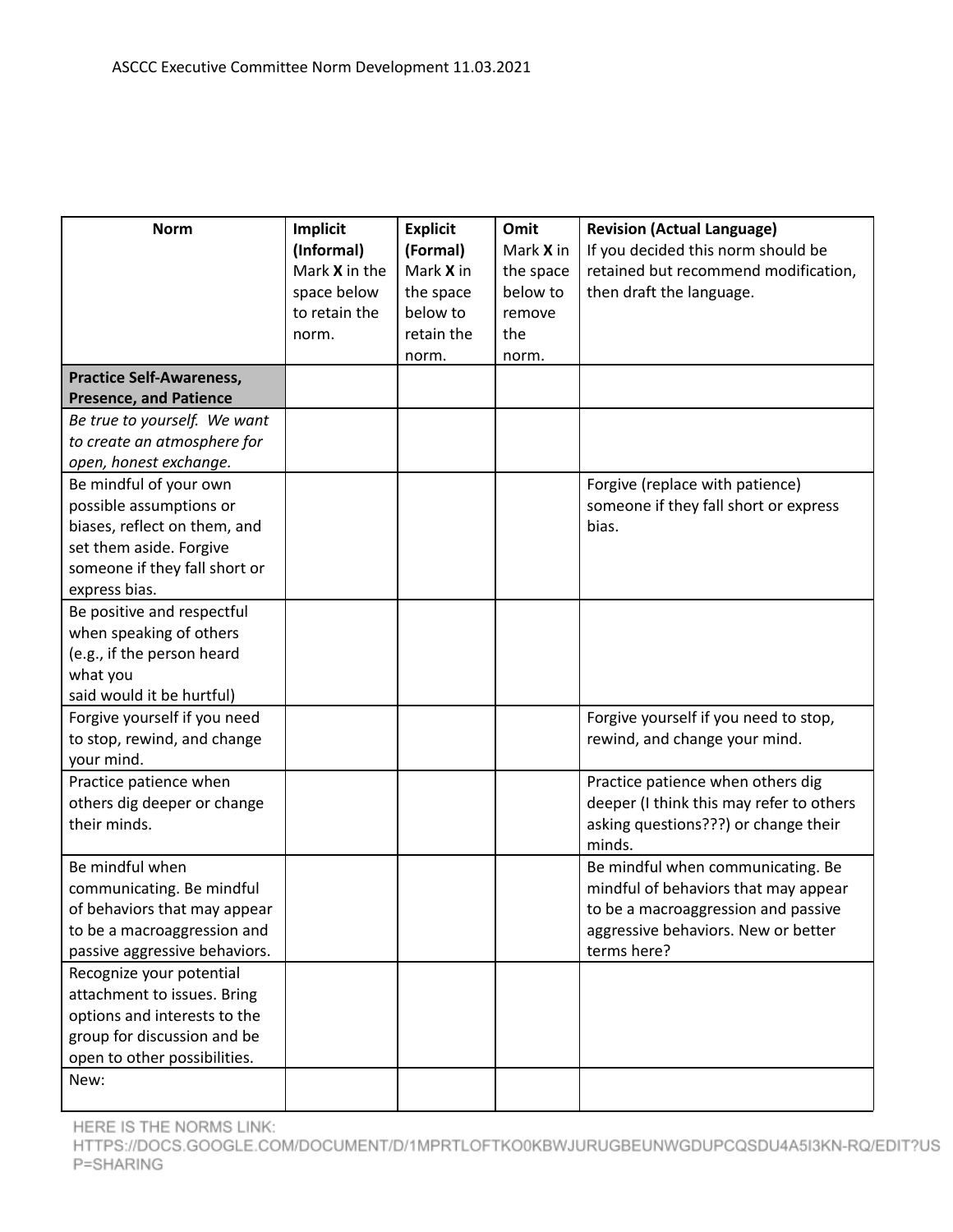| <b>Norm</b>                     | Implicit             | <b>Explicit</b> | Omit      | <b>Revision (Actual Language)</b>        |
|---------------------------------|----------------------|-----------------|-----------|------------------------------------------|
|                                 | (Informal)           | (Formal)        | Mark X in | If you decided this norm should be       |
|                                 | Mark <b>X</b> in the | Mark X in       | the space | retained but recommend modification,     |
|                                 |                      |                 | below to  |                                          |
|                                 | space below          | the space       |           | then draft the language.                 |
|                                 | to retain the        | below to        | remove    |                                          |
|                                 | norm.                | retain the      | the       |                                          |
|                                 |                      | norm.           | norm.     |                                          |
| <b>Practice Self-Awareness,</b> |                      |                 |           |                                          |
| <b>Presence, and Patience</b>   |                      |                 |           |                                          |
| Be true to yourself. We want    |                      |                 |           |                                          |
| to create an atmosphere for     |                      |                 |           |                                          |
| open, honest exchange.          |                      |                 |           |                                          |
| Be mindful of your own          |                      |                 |           | Forgive (replace with patience)          |
| possible assumptions or         |                      |                 |           | someone if they fall short or express    |
| biases, reflect on them, and    |                      |                 |           | bias.                                    |
| set them aside. Forgive         |                      |                 |           |                                          |
| someone if they fall short or   |                      |                 |           |                                          |
| express bias.                   |                      |                 |           |                                          |
| Be positive and respectful      |                      |                 |           |                                          |
| when speaking of others         |                      |                 |           |                                          |
| (e.g., if the person heard      |                      |                 |           |                                          |
| what you                        |                      |                 |           |                                          |
| said would it be hurtful)       |                      |                 |           |                                          |
| Forgive yourself if you need    |                      |                 |           | Forgive yourself if you need to stop,    |
| to stop, rewind, and change     |                      |                 |           | rewind, and change your mind.            |
| your mind.                      |                      |                 |           |                                          |
| Practice patience when          |                      |                 |           | Practice patience when others dig        |
| others dig deeper or change     |                      |                 |           | deeper (I think this may refer to others |
| their minds.                    |                      |                 |           | asking questions???) or change their     |
|                                 |                      |                 |           | minds.                                   |
| Be mindful when                 |                      |                 |           | Be mindful when communicating. Be        |
| communicating. Be mindful       |                      |                 |           | mindful of behaviors that may appear     |
| of behaviors that may appear    |                      |                 |           | to be a macroaggression and passive      |
| to be a macroaggression and     |                      |                 |           | aggressive behaviors. New or better      |
| passive aggressive behaviors.   |                      |                 |           | terms here?                              |
| Recognize your potential        |                      |                 |           |                                          |
| attachment to issues. Bring     |                      |                 |           |                                          |
|                                 |                      |                 |           |                                          |
| options and interests to the    |                      |                 |           |                                          |
| group for discussion and be     |                      |                 |           |                                          |
| open to other possibilities.    |                      |                 |           |                                          |
| New:                            |                      |                 |           |                                          |

HERE IS THE NORMS LINK: HTTPS://DOCS.GOOGLE.COM/DOCUMENT/D/1MPRTLOFTKO0KBWJURUGBEUNWGDUPCQSDU4A5I3KN-RQ/EDIT?US P=SHARING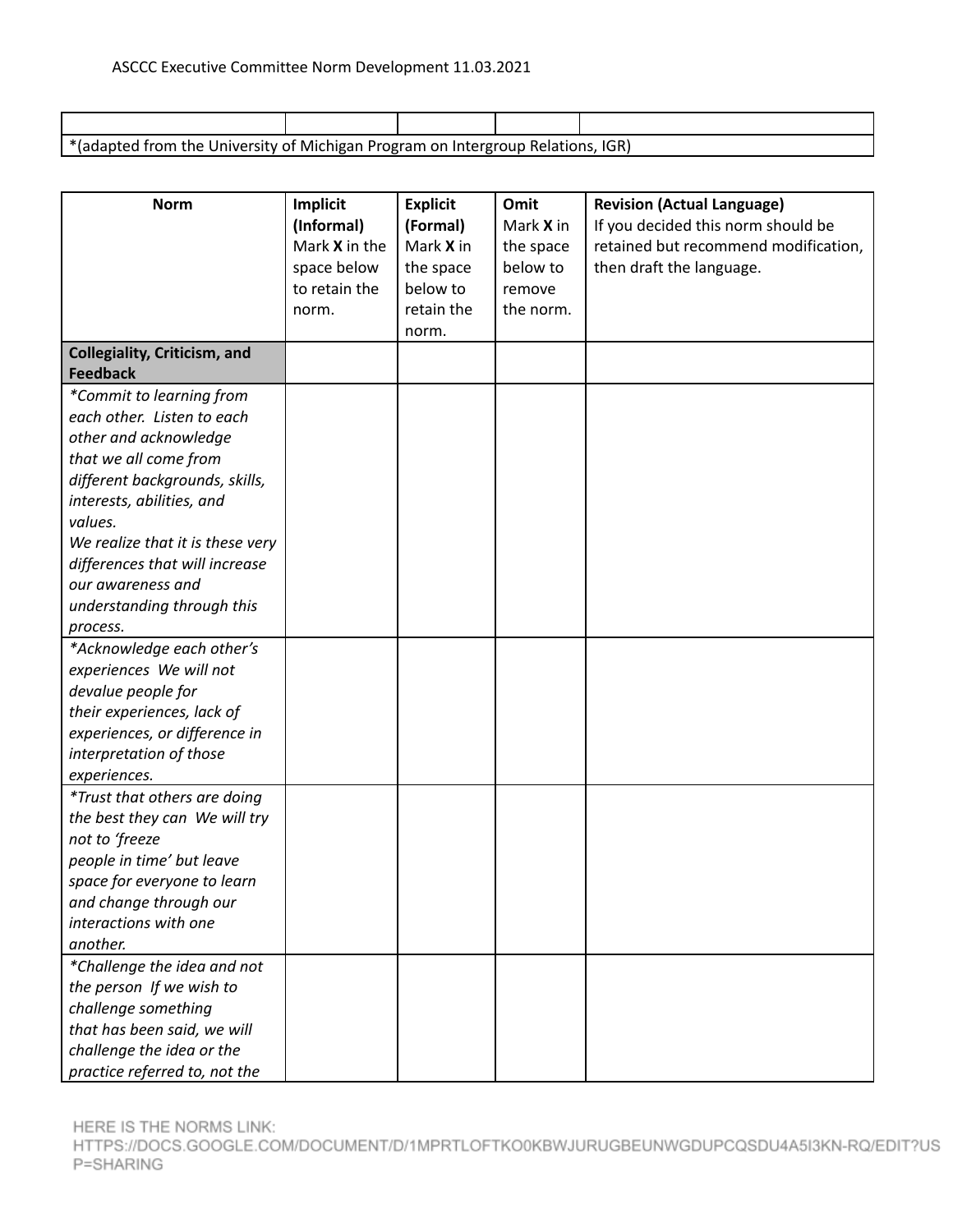| *(adapted from the University of Michigan Program on Intergroup Relations, IGR) |  |  |  |  |  |  |
|---------------------------------------------------------------------------------|--|--|--|--|--|--|

|                                     |                      |                 | Omit      | <b>Revision (Actual Language)</b>    |
|-------------------------------------|----------------------|-----------------|-----------|--------------------------------------|
| <b>Norm</b>                         | Implicit             | <b>Explicit</b> |           |                                      |
|                                     | (Informal)           | (Formal)        | Mark X in | If you decided this norm should be   |
|                                     | Mark <b>X</b> in the | Mark X in       | the space | retained but recommend modification, |
|                                     | space below          | the space       | below to  | then draft the language.             |
|                                     | to retain the        | below to        | remove    |                                      |
|                                     | norm.                | retain the      | the norm. |                                      |
|                                     |                      | norm.           |           |                                      |
| <b>Collegiality, Criticism, and</b> |                      |                 |           |                                      |
| <b>Feedback</b>                     |                      |                 |           |                                      |
| *Commit to learning from            |                      |                 |           |                                      |
| each other. Listen to each          |                      |                 |           |                                      |
| other and acknowledge               |                      |                 |           |                                      |
| that we all come from               |                      |                 |           |                                      |
| different backgrounds, skills,      |                      |                 |           |                                      |
| interests, abilities, and           |                      |                 |           |                                      |
| values.                             |                      |                 |           |                                      |
| We realize that it is these very    |                      |                 |           |                                      |
| differences that will increase      |                      |                 |           |                                      |
| our awareness and                   |                      |                 |           |                                      |
| understanding through this          |                      |                 |           |                                      |
| process.                            |                      |                 |           |                                      |
| *Acknowledge each other's           |                      |                 |           |                                      |
| experiences We will not             |                      |                 |           |                                      |
| devalue people for                  |                      |                 |           |                                      |
| their experiences, lack of          |                      |                 |           |                                      |
| experiences, or difference in       |                      |                 |           |                                      |
| interpretation of those             |                      |                 |           |                                      |
| experiences.                        |                      |                 |           |                                      |
| *Trust that others are doing        |                      |                 |           |                                      |
| the best they can We will try       |                      |                 |           |                                      |
| not to 'freeze                      |                      |                 |           |                                      |
| people in time' but leave           |                      |                 |           |                                      |
| space for everyone to learn         |                      |                 |           |                                      |
| and change through our              |                      |                 |           |                                      |
| interactions with one               |                      |                 |           |                                      |
| another.                            |                      |                 |           |                                      |
| *Challenge the idea and not         |                      |                 |           |                                      |
| the person If we wish to            |                      |                 |           |                                      |
| challenge something                 |                      |                 |           |                                      |
| that has been said, we will         |                      |                 |           |                                      |
| challenge the idea or the           |                      |                 |           |                                      |
| practice referred to, not the       |                      |                 |           |                                      |

HERE IS THE NORMS LINK: HTTPS://DOCS.GOOGLE.COM/DOCUMENT/D/1MPRTLOFTKO0KBWJURUGBEUNWGDUPCQSDU4A5I3KN-RQ/EDIT?US P=SHARING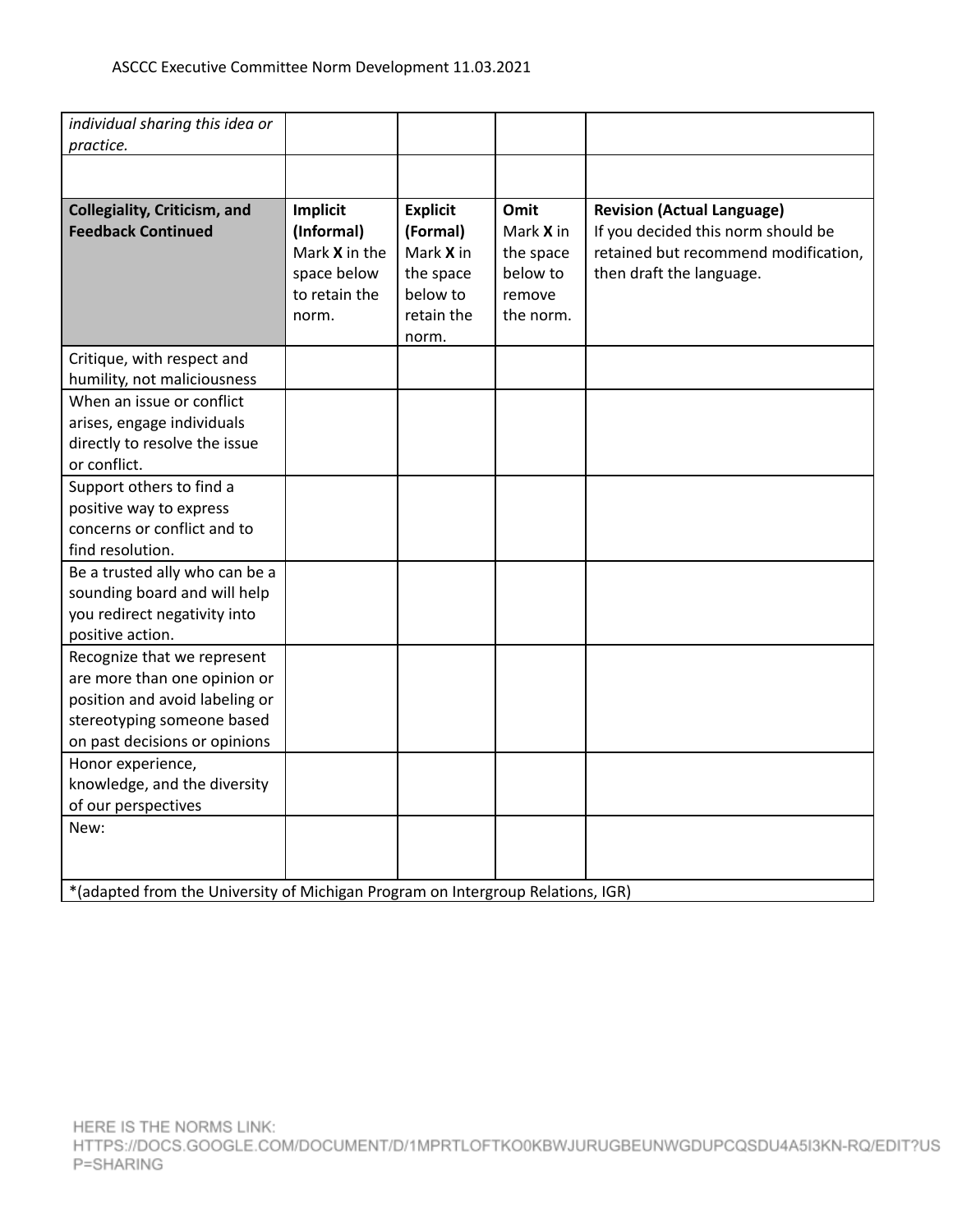| individual sharing this idea or<br>practice.                                                                                                                 |                                                                                  |                                                                                          |                                                                          |                                                                                                                                             |
|--------------------------------------------------------------------------------------------------------------------------------------------------------------|----------------------------------------------------------------------------------|------------------------------------------------------------------------------------------|--------------------------------------------------------------------------|---------------------------------------------------------------------------------------------------------------------------------------------|
|                                                                                                                                                              |                                                                                  |                                                                                          |                                                                          |                                                                                                                                             |
| Collegiality, Criticism, and<br><b>Feedback Continued</b>                                                                                                    | Implicit<br>(Informal)<br>Mark X in the<br>space below<br>to retain the<br>norm. | <b>Explicit</b><br>(Formal)<br>Mark X in<br>the space<br>below to<br>retain the<br>norm. | <b>Omit</b><br>Mark X in<br>the space<br>below to<br>remove<br>the norm. | <b>Revision (Actual Language)</b><br>If you decided this norm should be<br>retained but recommend modification,<br>then draft the language. |
| Critique, with respect and<br>humility, not maliciousness                                                                                                    |                                                                                  |                                                                                          |                                                                          |                                                                                                                                             |
| When an issue or conflict<br>arises, engage individuals<br>directly to resolve the issue<br>or conflict.                                                     |                                                                                  |                                                                                          |                                                                          |                                                                                                                                             |
| Support others to find a<br>positive way to express<br>concerns or conflict and to<br>find resolution.                                                       |                                                                                  |                                                                                          |                                                                          |                                                                                                                                             |
| Be a trusted ally who can be a<br>sounding board and will help<br>you redirect negativity into<br>positive action.                                           |                                                                                  |                                                                                          |                                                                          |                                                                                                                                             |
| Recognize that we represent<br>are more than one opinion or<br>position and avoid labeling or<br>stereotyping someone based<br>on past decisions or opinions |                                                                                  |                                                                                          |                                                                          |                                                                                                                                             |
| Honor experience,<br>knowledge, and the diversity<br>of our perspectives                                                                                     |                                                                                  |                                                                                          |                                                                          |                                                                                                                                             |
| New:                                                                                                                                                         |                                                                                  |                                                                                          |                                                                          |                                                                                                                                             |
| *(adapted from the University of Michigan Program on Intergroup Relations, IGR)                                                                              |                                                                                  |                                                                                          |                                                                          |                                                                                                                                             |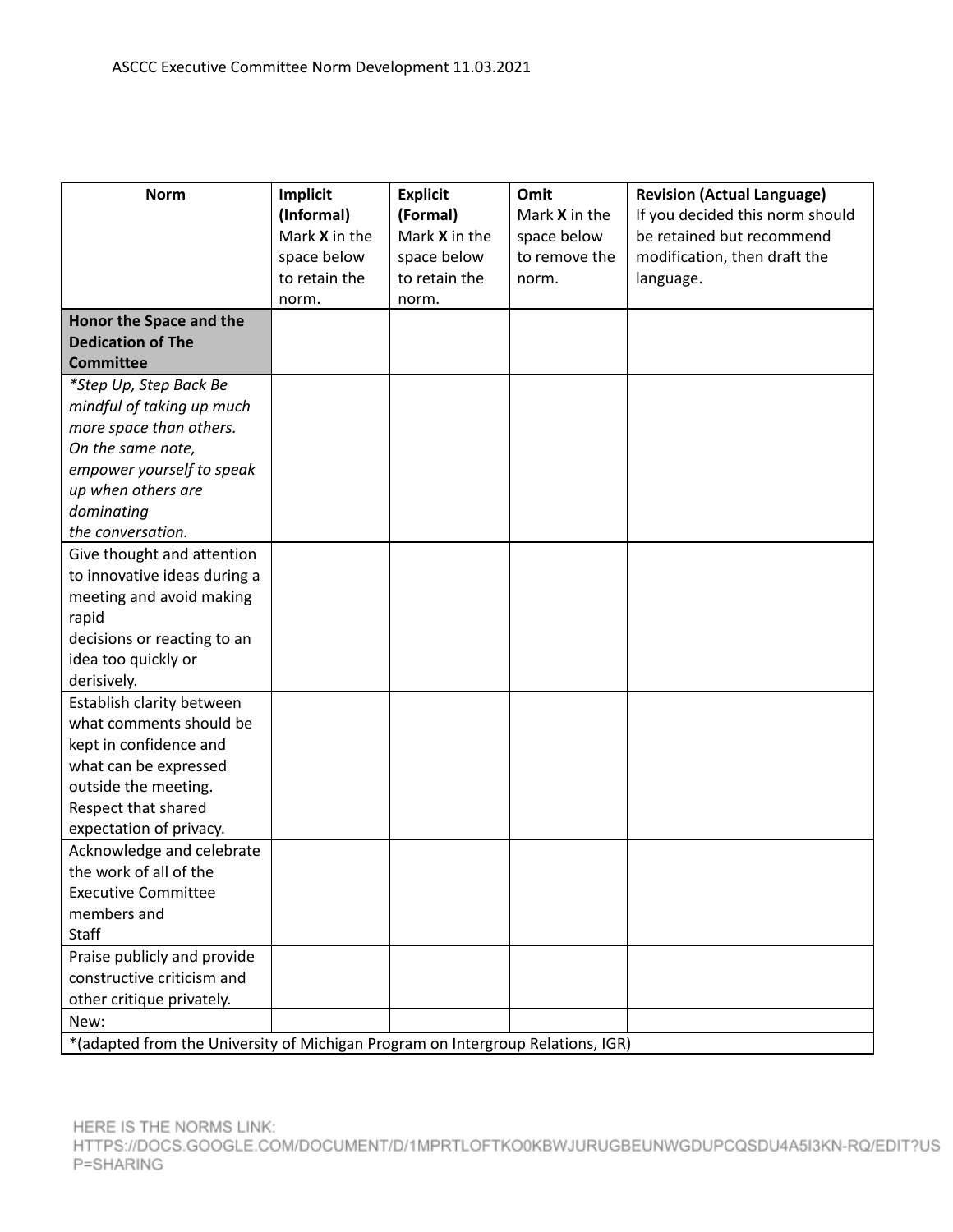| <b>Norm</b>                                                                     | Implicit      | <b>Explicit</b> | Omit                 | <b>Revision (Actual Language)</b> |  |
|---------------------------------------------------------------------------------|---------------|-----------------|----------------------|-----------------------------------|--|
|                                                                                 | (Informal)    | (Formal)        | Mark <b>X</b> in the | If you decided this norm should   |  |
|                                                                                 | Mark X in the | Mark X in the   | space below          | be retained but recommend         |  |
|                                                                                 | space below   | space below     | to remove the        | modification, then draft the      |  |
|                                                                                 | to retain the | to retain the   | norm.                | language.                         |  |
|                                                                                 | norm.         | norm.           |                      |                                   |  |
| Honor the Space and the                                                         |               |                 |                      |                                   |  |
| <b>Dedication of The</b>                                                        |               |                 |                      |                                   |  |
| <b>Committee</b>                                                                |               |                 |                      |                                   |  |
| *Step Up, Step Back Be                                                          |               |                 |                      |                                   |  |
| mindful of taking up much                                                       |               |                 |                      |                                   |  |
| more space than others.                                                         |               |                 |                      |                                   |  |
| On the same note,                                                               |               |                 |                      |                                   |  |
| empower yourself to speak                                                       |               |                 |                      |                                   |  |
| up when others are                                                              |               |                 |                      |                                   |  |
| dominating                                                                      |               |                 |                      |                                   |  |
| the conversation.                                                               |               |                 |                      |                                   |  |
| Give thought and attention                                                      |               |                 |                      |                                   |  |
| to innovative ideas during a                                                    |               |                 |                      |                                   |  |
| meeting and avoid making                                                        |               |                 |                      |                                   |  |
| rapid                                                                           |               |                 |                      |                                   |  |
| decisions or reacting to an                                                     |               |                 |                      |                                   |  |
| idea too quickly or                                                             |               |                 |                      |                                   |  |
| derisively.                                                                     |               |                 |                      |                                   |  |
| Establish clarity between                                                       |               |                 |                      |                                   |  |
| what comments should be                                                         |               |                 |                      |                                   |  |
| kept in confidence and                                                          |               |                 |                      |                                   |  |
| what can be expressed                                                           |               |                 |                      |                                   |  |
| outside the meeting.                                                            |               |                 |                      |                                   |  |
| Respect that shared                                                             |               |                 |                      |                                   |  |
| expectation of privacy.                                                         |               |                 |                      |                                   |  |
| Acknowledge and celebrate                                                       |               |                 |                      |                                   |  |
| the work of all of the                                                          |               |                 |                      |                                   |  |
| <b>Executive Committee</b>                                                      |               |                 |                      |                                   |  |
| members and                                                                     |               |                 |                      |                                   |  |
| Staff                                                                           |               |                 |                      |                                   |  |
| Praise publicly and provide                                                     |               |                 |                      |                                   |  |
| constructive criticism and                                                      |               |                 |                      |                                   |  |
| other critique privately.                                                       |               |                 |                      |                                   |  |
| New:                                                                            |               |                 |                      |                                   |  |
| *(adapted from the University of Michigan Program on Intergroup Relations, IGR) |               |                 |                      |                                   |  |